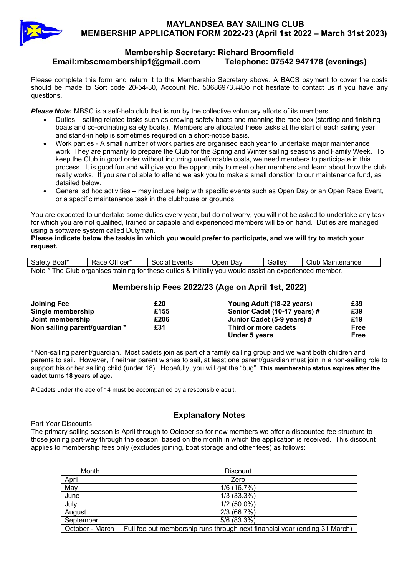

## **Membership Secretary: Richard Broomfield Email:mbscmembership1@gmail.com Telephone: 07542 947178 (evenings)**

Please complete this form and return it to the Membership Secretary above. A BACS payment to cover the costs should be made to Sort code 20-54-30, Account No. 53686973.#Do not hesitate to contact us if you have any questions.

**Please Note:** MBSC is a self-help club that is run by the collective voluntary efforts of its members.

- Duties sailing related tasks such as crewing safety boats and manning the race box (starting and finishing boats and co-ordinating safety boats). Members are allocated these tasks at the start of each sailing year and stand-in help is sometimes required on a short-notice basis.
- Work parties A small number of work parties are organised each year to undertake major maintenance work. They are primarily to prepare the Club for the Spring and Winter sailing seasons and Family Week. To keep the Club in good order without incurring unaffordable costs, we need members to participate in this process. It is good fun and will give you the opportunity to meet other members and learn about how the club really works. If you are not able to attend we ask you to make a small donation to our maintenance fund, as detailed below.
- General ad hoc activities may include help with specific events such as Open Day or an Open Race Event, or a specific maintenance task in the clubhouse or grounds.

You are expected to undertake some duties every year, but do not worry, you will not be asked to undertake any task for which you are not qualified, trained or capable and experienced members will be on hand. Duties are managed using a software system called Dutyman.

**Please indicate below the task/s in which you would prefer to participate, and we will try to match your request.** 

| Safety Boat*                                                                                            | Race Officer*<br>Social Events |  | Open Dav | Galley | Club Maintenance |  |  |
|---------------------------------------------------------------------------------------------------------|--------------------------------|--|----------|--------|------------------|--|--|
| Note * The Club organises training for these duties & initially you would assist an experienced member. |                                |  |          |        |                  |  |  |

# **Membership Fees 2022/23 (Age on April 1st, 2022)**

| Joining Fee                   | £20  | Young Adult (18-22 years)    | £39  |
|-------------------------------|------|------------------------------|------|
| Single membership             | £155 | Senior Cadet (10-17 years) # | £39  |
| Joint membership              | £206 | Junior Cadet (5-9 years) #   | £19  |
| Non sailing parent/guardian * | £31  | Third or more cadets         | Free |
|                               |      | Under 5 years                | Free |

\* Non-sailing parent/guardian. Most cadets join as part of a family sailing group and we want both children and parents to sail. However, if neither parent wishes to sail, at least one parent/guardian must join in a non-sailing role to support his or her sailing child (under 18). Hopefully, you will get the "bug". **This membership status expires after the cadet turns 18 years of age.** 

# Cadets under the age of 14 must be accompanied by a responsible adult.

### Part Year Discounts

**Explanatory Notes**

The primary sailing season is April through to October so for new members we offer a discounted fee structure to those joining part-way through the season, based on the month in which the application is received. This discount applies to membership fees only (excludes joining, boat storage and other fees) as follows:

| Month           | <b>Discount</b>                                                            |
|-----------------|----------------------------------------------------------------------------|
| April           | Zero                                                                       |
| May             | 1/6 (16.7%)                                                                |
| June            | $1/3$ (33.3%)                                                              |
| July            | $1/2$ (50.0%)                                                              |
| August          | 2/3(66.7%)                                                                 |
| September       | 5/6 (83.3%)                                                                |
| October - March | Full fee but membership runs through next financial year (ending 31 March) |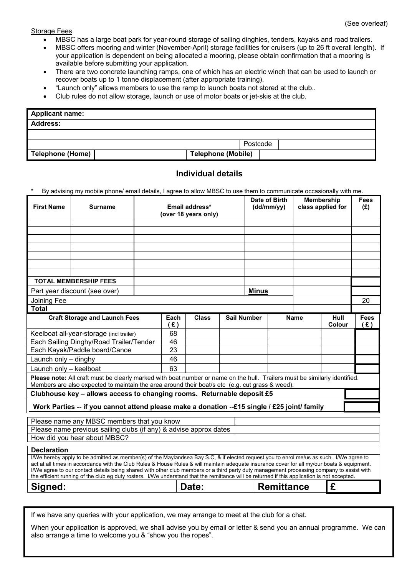#### Storage Fees

- MBSC has a large boat park for year-round storage of sailing dinghies, tenders, kayaks and road trailers.
- MBSC offers mooring and winter (November-April) storage facilities for cruisers (up to 26 ft overall length). If your application is dependent on being allocated a mooring, please obtain confirmation that a mooring is available before submitting your application.
- There are two concrete launching ramps, one of which has an electric winch that can be used to launch or recover boats up to 1 tonne displacement (after appropriate training).
- "Launch only" allows members to use the ramp to launch boats not stored at the club..
- Club rules do not allow storage, launch or use of motor boats or jet-skis at the club.

| Applicant name:  |                           |  |  |  |  |
|------------------|---------------------------|--|--|--|--|
| Address:         |                           |  |  |  |  |
|                  |                           |  |  |  |  |
| Postcode         |                           |  |  |  |  |
| Telephone (Home) | <b>Telephone (Mobile)</b> |  |  |  |  |

## **Individual details**

By advising my mobile phone/ email details, I agree to allow MBSC to use them to communicate occasionally with me.

| <b>First Name</b>                                                                                                                                                                                                                                                                                                                                                                                                                                                                                                                                                                   | <b>Surname</b>                                                    | Email address*<br>(over 18 years only) |              |              | Date of Birth<br>(dd/mm/yy) |  | <b>Membership</b><br>class applied for |                | <b>Fees</b><br>(E) |    |
|-------------------------------------------------------------------------------------------------------------------------------------------------------------------------------------------------------------------------------------------------------------------------------------------------------------------------------------------------------------------------------------------------------------------------------------------------------------------------------------------------------------------------------------------------------------------------------------|-------------------------------------------------------------------|----------------------------------------|--------------|--------------|-----------------------------|--|----------------------------------------|----------------|--------------------|----|
|                                                                                                                                                                                                                                                                                                                                                                                                                                                                                                                                                                                     |                                                                   |                                        |              |              |                             |  |                                        |                |                    |    |
|                                                                                                                                                                                                                                                                                                                                                                                                                                                                                                                                                                                     |                                                                   |                                        |              |              |                             |  |                                        |                |                    |    |
|                                                                                                                                                                                                                                                                                                                                                                                                                                                                                                                                                                                     |                                                                   |                                        |              |              |                             |  |                                        |                |                    |    |
|                                                                                                                                                                                                                                                                                                                                                                                                                                                                                                                                                                                     |                                                                   |                                        |              |              |                             |  |                                        |                |                    |    |
|                                                                                                                                                                                                                                                                                                                                                                                                                                                                                                                                                                                     |                                                                   |                                        |              |              |                             |  |                                        |                |                    |    |
|                                                                                                                                                                                                                                                                                                                                                                                                                                                                                                                                                                                     |                                                                   |                                        |              |              |                             |  |                                        |                |                    |    |
|                                                                                                                                                                                                                                                                                                                                                                                                                                                                                                                                                                                     | <b>TOTAL MEMBERSHIP FEES</b>                                      |                                        |              |              |                             |  |                                        |                |                    |    |
|                                                                                                                                                                                                                                                                                                                                                                                                                                                                                                                                                                                     | Part year discount (see over)                                     |                                        |              | <b>Minus</b> |                             |  |                                        |                |                    |    |
| Joining Fee                                                                                                                                                                                                                                                                                                                                                                                                                                                                                                                                                                         |                                                                   |                                        |              |              |                             |  |                                        |                |                    | 20 |
| <b>Total</b>                                                                                                                                                                                                                                                                                                                                                                                                                                                                                                                                                                        |                                                                   |                                        |              |              |                             |  |                                        |                |                    |    |
| <b>Craft Storage and Launch Fees</b>                                                                                                                                                                                                                                                                                                                                                                                                                                                                                                                                                |                                                                   | Each<br>(E)                            | <b>Class</b> |              | <b>Sail Number</b>          |  | <b>Name</b>                            | Hull<br>Colour | <b>Fees</b><br>(E) |    |
|                                                                                                                                                                                                                                                                                                                                                                                                                                                                                                                                                                                     | Keelboat all-year-storage (incl trailer)                          |                                        | 68           |              |                             |  |                                        |                |                    |    |
| Each Sailing Dinghy/Road Trailer/Tender                                                                                                                                                                                                                                                                                                                                                                                                                                                                                                                                             |                                                                   |                                        | 46           |              |                             |  |                                        |                |                    |    |
| Each Kayak/Paddle board/Canoe                                                                                                                                                                                                                                                                                                                                                                                                                                                                                                                                                       |                                                                   |                                        | 23           |              |                             |  |                                        |                |                    |    |
| Launch only - dinghy                                                                                                                                                                                                                                                                                                                                                                                                                                                                                                                                                                |                                                                   |                                        | 46           |              |                             |  |                                        |                |                    |    |
| Launch only - keelboat                                                                                                                                                                                                                                                                                                                                                                                                                                                                                                                                                              |                                                                   |                                        | 63           |              |                             |  |                                        |                |                    |    |
| Please note: All craft must be clearly marked with boat number or name on the hull. Trailers must be similarly identified.<br>Members are also expected to maintain the area around their boat/s etc (e.g. cut grass & weed).                                                                                                                                                                                                                                                                                                                                                       |                                                                   |                                        |              |              |                             |  |                                        |                |                    |    |
| Clubhouse key - allows access to changing rooms. Returnable deposit £5                                                                                                                                                                                                                                                                                                                                                                                                                                                                                                              |                                                                   |                                        |              |              |                             |  |                                        |                |                    |    |
| Work Parties -- if you cannot attend please make a donation --£15 single / £25 joint/ family                                                                                                                                                                                                                                                                                                                                                                                                                                                                                        |                                                                   |                                        |              |              |                             |  |                                        |                |                    |    |
|                                                                                                                                                                                                                                                                                                                                                                                                                                                                                                                                                                                     | Please name any MBSC members that you know                        |                                        |              |              |                             |  |                                        |                |                    |    |
|                                                                                                                                                                                                                                                                                                                                                                                                                                                                                                                                                                                     | Please name previous sailing clubs (if any) & advise approx dates |                                        |              |              |                             |  |                                        |                |                    |    |
| How did you hear about MBSC?                                                                                                                                                                                                                                                                                                                                                                                                                                                                                                                                                        |                                                                   |                                        |              |              |                             |  |                                        |                |                    |    |
| <b>Declaration</b>                                                                                                                                                                                                                                                                                                                                                                                                                                                                                                                                                                  |                                                                   |                                        |              |              |                             |  |                                        |                |                    |    |
| I/We hereby apply to be admitted as member(s) of the Maylandsea Bay S.C, & if elected request you to enrol me/us as such. I/We agree to<br>act at all times in accordance with the Club Rules & House Rules & will maintain adequate insurance cover for all my/our boats & equipment.<br>I/We agree to our contact details being shared with other club members or a third party duty management processing company to assist with<br>the efficient running of the club eg duty rosters. I/We understand that the remittance will be returned if this application is not accepted. |                                                                   |                                        |              |              |                             |  |                                        |                |                    |    |
| Signed:                                                                                                                                                                                                                                                                                                                                                                                                                                                                                                                                                                             |                                                                   |                                        |              | Date:        |                             |  | <b>Remittance</b>                      | £              |                    |    |
|                                                                                                                                                                                                                                                                                                                                                                                                                                                                                                                                                                                     |                                                                   |                                        |              |              |                             |  |                                        |                |                    |    |

If we have any queries with your application, we may arrange to meet at the club for a chat.

When your application is approved, we shall advise you by email or letter & send you an annual programme. We can also arrange a time to welcome you & "show you the ropes".